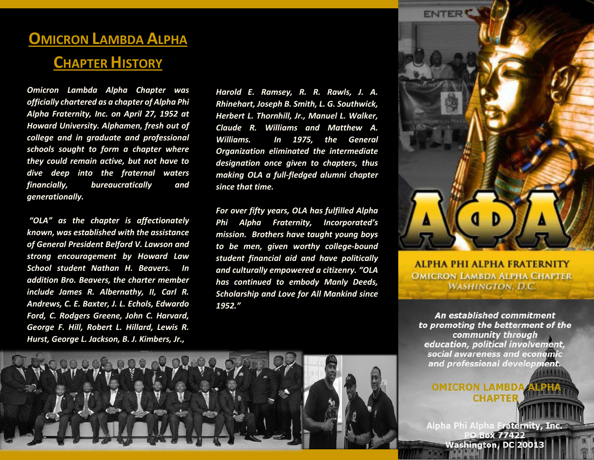# **OMICRON LAMBDA ALPHA**

## **CHAPTER HISTORY**

*Omicron Lambda Alpha Chapter was officially chartered as a chapter of Alpha Phi Alpha Fraternity, Inc. on April 27, 1952 at Howard University. Alphamen, fresh out of college and in graduate and professional schools sought to form a chapter where they could remain active, but not have to dive deep into the fraternal waters financially, bureaucratically and generationally.*

*"OLA" as the chapter is affectionately known, was established with the assistance of General President Belford V. Lawson and strong encouragement by Howard Law School student Nathan H. Beavers. In addition Bro. Beavers, the charter member include James R. Albernathy, II, Carl R. Andrews, C. E. Baxter, J. L. Echols, Edwardo Ford, C. Rodgers Greene, John C. Harvard, George F. Hill, Robert L. Hillard, Lewis R. Hurst, George L. Jackson, B. J. Kimbers, Jr.,*

*Harold E. Ramsey, R. R. Rawls, J. A. Rhinehart, Joseph B. Smith, L. G. Southwick, Herbert L. Thornhill, Jr., Manuel L. Walker, Claude R. Williams and Matthew A. Williams. In 1975, the General Organization eliminated the intermediate designation once given to chapters, thus making OLA a full-fledged alumni chapter since that time.*

*For over fifty years, OLA has fulfilled Alpha Phi Alpha Fraternity, Incorporated's mission. Brothers have taught young boys to be men, given worthy college-bound student financial aid and have politically and culturally empowered a citizenry. "OLA has continued to embody Manly Deeds, Scholarship and Love for All Mankind since 1952."*



**ALPHA PHI ALPHA FRATERNITY OMICRON LAMBDA ALPHA CHAPTER WASHINGTON, D.C.** 

An established commitment to promoting the betterment of the community through education, political involvement, social awareness and economic and professional development.

OMICRON LAMBDA **CHAPTER** 

Alpha Phi Alpha Fraternity, Inc. **Box 77422 Washington, DC 20013**